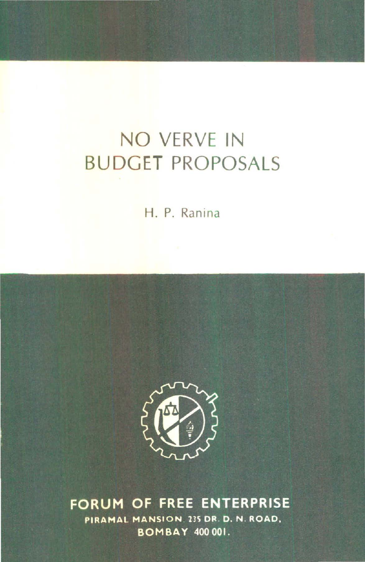# NO VERVE IN BUDGET PROPOSALS

H. P. Ranina



FORUM OF FREE ENTERPRISE PIRAMAL MANSION, 235 DR. D. N. ROAD, **BOMBAY 400 001.**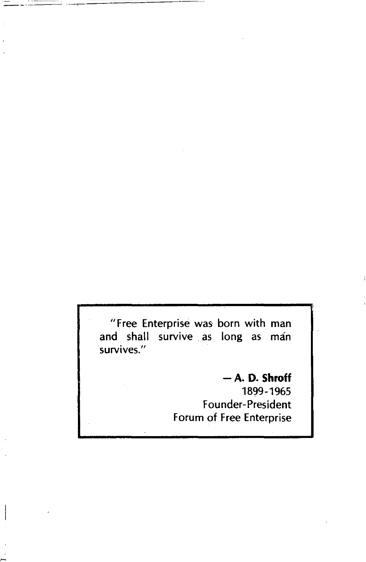"Free Enterprise was born with man and shall survive as long as man survives."

#### - **A. D. Shroff**

1899-1965 Founder-President Forum of Free Enterprise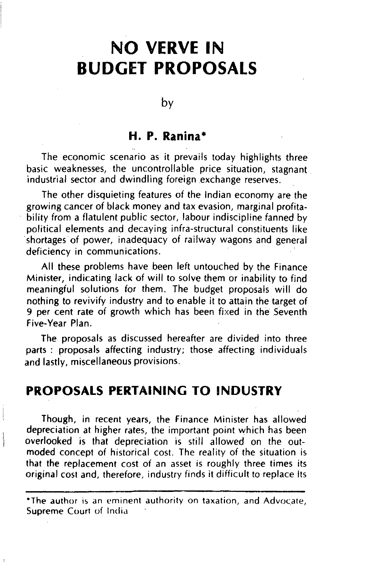# **NO VERVE IN BUDGET PROPOSALS**

#### by

#### **H. P. Ranina•**

The economic scenario as it prevails today highlights three basic weaknesses, the uncontrollable price situation, stagnant industrial sector and dwindling foreign exchange reserves.

The other disquieting features of the Indian economy are the growing cancer of black money and tax evasion, marginal profitability from a flatulent public sector, labour indiscipline fanned by political elements and decaying infra-structural constituents like shortages of power, inadequacy of railway wagons and general deficiency in communications.

All these problems have been left untouched by the Finance Minister, indicating lack of will to solve them or inability to find meaningful solutions for them. The budget proposals will do nothing to revivify industry and to enable it to attain the target of 9 per cent rate of growth which has been fixed in the Seventh Five-Year Plan.

The proposals as discussed hereafter are divided into three parts : proposals affecting industry; those affecting individuals and lastly, miscellaneous provisions.

#### **PROPOSALS PERTAINING TO INDUSTRY**

Though, in recent years, the Finance Minister has allowed depreciation at higher rates, the important point which has been overlooked is that depreciation is still allowed on the outmoded concept of historical cost. The reality of the situation is that the replacement cost of an asset is roughly three times its original cost and, therefore, industry finds it difficult to replace Its

**<sup>\*</sup>The author is an eminent authority on taxation, and Advocate,** Supreme Court of India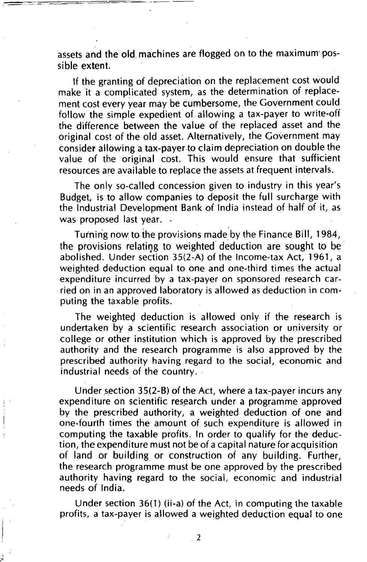assets and the old machines are flogged on to the maximum possible extent.

=c--==-===-=====- ----

If the granting of depreciation on the replacement cost would make it a complicated system, as the determination of replacement cost every year may be cumbersome, the Government could follow the simple expedient of allowing a tax-payer to write-off the difference between the value of the replaced asset and the original cost of the old asset. Alternatively, the Government may consider allowing a tax-payer to claim depreciation on double the value of the original cost. This would ensure that sufficient resources are available to replace the assets at frequent intervals.

The only so-called concession given to industry in this year's Budget, is to allow companies to deposit the full surcharge with the Industrial Development Bank of India instead of half of it, as was proposed last year. .

Turning now to the provisions made by the Finance Bill, 1984, the provisions relating to weighted deduction are sought to be abolished. Under section 35(2-A) of the Income-tax Act, 1961, a weighted deduction equal to one and one-third times the actual expenditure incurred by a tax-payer on sponsored research carried on in an approved laboratory is allowed as deduction in computing the taxable profits.

The weighted deduction is allowed only if the research is undertaken by a scientific research association or university or college or other institution which is approved by the prescribed authority and the research programme is also approved by the prescribed authority having regard to the social, economic and industrial needs of the country.

Under section 35(2-B) of the Act, where a tax-payer incurs any expenditure on scientific research under a programme approved by the prescribed authority, a weighted deduction of one and one-fourth times the amount of such expenditure is allowed in computing the taxable profits. In order to qualify for the deduction, the expenditure must not be of a capital nature for acquisition of land or building or construction of any building. Further, the research programme must be one approved by the prescribed authority having regard to the social, economic and industrial needs of India.

Under section 36(1) (ii-a) of the Act, in computing the taxable profits, a tax-payer is allowed a weighted deduction equal to one

2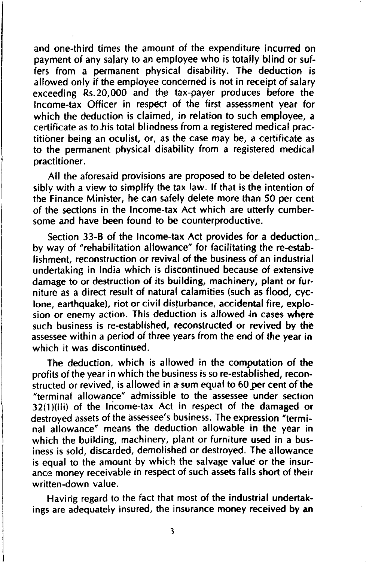and one-third times the amount of the expenditure incurred on payment of any salary to an employee who is totally blind or suffers from a permanent physical disability. The deduction is allowed only if the employee concerned is not in receipt of salary exceeding Rs.20,000 and the tax-payer produces before the Income-tax Officer in respect of the first assessment year for which the deduction is claimed, in relation to such employee, a certificate as to his total blindness from a registered medical practitioner being an oculist, or, as the case may be, a certificate as to the permanent physical disability from a registered medical practitioner.

All the aforesaid provisions are proposed to be deleted ostensibly with a view to simplify the tax law. If that is the intention of the Finance Minister, he can safely delete more than 50 per cent of the sections in the Income-tax Act which are utterly cumbersome and have been found to be counterproductive.

Section 33-B of the Income-tax Act provides for a deduction\_ by way of "rehabilitation allowance" for facilitating the re-establishment, reconstruction or revival of the business of an industrial undertaking in India which is discontinued because of extensive damage to or destruction of its building, machinery, plant or furniture as a direct result of natural calamities (such as flood, cyclone, earthquake), riot or civil disturbance, accidental fire, explosion or enemy action. This deduction is allowed in cases where such business is re-established, reconstructed or revived by the assessee within a period of three years from the end of the year in which it was discontinued.

The deduction. which is allowed in the computation of the profits of the year in which the business is so re-established, reconstructed or revived, is allowed in a-sum equal to 60 *per* cent of the "terminal allowance" admissible to the assessee under section 32(1)(iii) of the Income-tax Act in respect of the damaged or destroyed assets of the assessee's business. The expression "terminal allowance" means the deduction allowable in the year in which the building, machinery, plant or furniture used in a business is sold, discarded, demolished or destroyed. The allowance is equal to the amount by which the salvage value or the insurance money receivable in respect of such assets falls short of their written-down value.

Having regard to the fact that most of the industrial undertakings are adequately insured, the insurance money received by an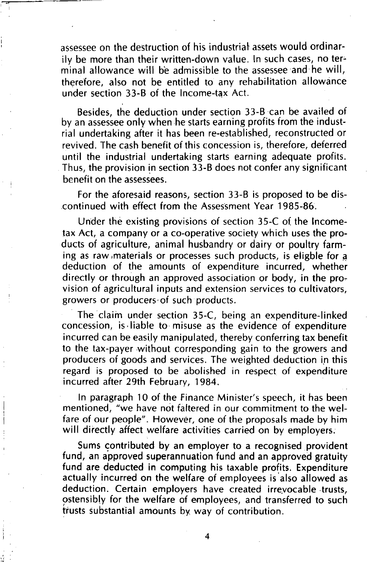assessee on the destruction of his industrial assets would ordinarily be more than their written-down value. In such cases, no terminal allowance will be admissible to the assessee and he will, therefore, also not be entitled to any rehabilitation allowance under section  $33-8$  of the Income-tax Act.

Besides, the deduction under section 33-B can be availed of by an assessee only when he starts earning profits from the industrial undertaking after it has been re-established, reconstructed or revived. The cash benefit of this concession is, therefore, deferred until the industrial undertaking starts earning adequate profits. Thus, the provision in section 33-B does not confer any significant benefit on the assessees.

For the aforesaid reasons, section 33-B is proposed to be discontinued with effect from the Assessment Year 1985-86.

Under the existing provisions of section 35-C of the Incometax Act, a company or a co-operative society which uses the products of agriculture, animal husbandry or dairy or poultry farming as raw materials or processes such products, is eligble for a deduction of the amounts of expenditure incurred, whether directly or through an approved association or body, in the provision of agricultural inputs and extension services to cultivators, growers or producers·of such products.

The claim under section 35-C, being an expenditure-linked concession, is ·liable to misuse as the evidence of expenditure incurred can be easily manipulated, thereby conferring tax benefit to the tax-payer without corresponding gain to the growers and producers of goods and services. The weighted deduction in this regard is proposed to be abolished in respect of expenditure incurred after 29th February, 1984.

In paragraph 10 of the Finance Minister's speech, it has been mentioned, "we have not faltered in our commitment to the welfare of our people". However, one of the proposals made by him will directly affect welfare activities carried on by employers.

Sums contributed by an employer to a recognised provident fund, an approved superannuation fund and an approved gratuity fund are deducted in computing his taxable profits. Expenditure actually incurred on the welfare of employees is also allowed as deduction. Certain employers have created irrevocable trusts, pstensibly for the welfare of employees, and transferred to such trusts substantial amounts by way of contribution.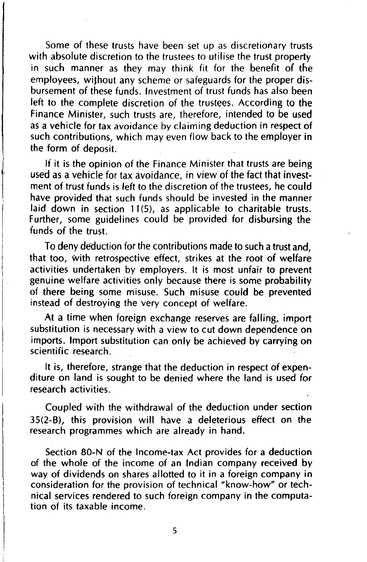Some of these trusts have been set up as discretionary trusts with absolute discretion to the trustees to utilise the trust property in such manner as they may think fit for the benefit of the employees, without any scheme or safeguards for the proper disbursement of these funds. Investment of trust funds has also been left to the complete discretion of the trustees. According to the Finance Minister, such trusts are, therefore, intended to be used as a vehicle for tax avoidance by claiming deduction in respect of such contributions, which may even flow back to the employer in the form of deposit.

If it is the opinion of the Finance Minister that trusts are being used as a vehicle for tax avoidance, in view of the fact that investment of trust funds is left to the discretion of the trustees, he could have provided that such funds should be invested in the manner laid down in section 11(5), as applicable to charitable trusts. Further, some guidelines could be provided for disbursing the funds of the trust.

To deny deduction for the contributions made to such a trust and, that too, with retrospective effect, strikes at the root of welfare activities undertaken by employers. It is most unfair to prevent genuine welfare activities only because there is some probability of there being some misuse. Such misuse could be prevented instead of destroying the very concept of welfare.

At a time when foreign exchange reserves are falling, import substitution is necessary with a view to cut down dependence on imports. Import substitution can only be achieved by carrying on scientific research.

It is, therefore, strange that the deduction in respect of expenditure on land is sought to be denied where the land is used for research activities.

Coupled with the withdrawal of the deduction under section 35(2-B), this provision will have a deleterious effect on the research programmes which are already in hand.

Section 80-N of the Income-tax Act provides for a deduction of the whole of the income of an Indian company received by way of dividends on shares allotted to it in a foreign company in consideration for the provision of technical "know-how" or technical services rendered to such foreign company in the computation of its taxable income.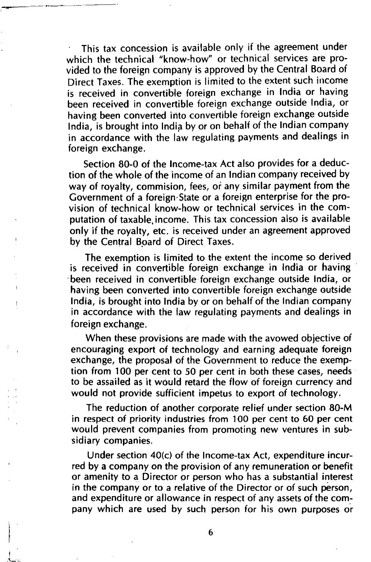This tax concession is available only if the agreement under which the technical "know-how" or technical services are provided to the foreign company is approved by the Central Board of Direct Taxes. The exemption is limited to the extent such income is received in convertible foreign exchange in India or having been received in convertible foreign exchange outside India, or having been converted into convertible foreign exchange outside India, is brought into India by or on behalf of the Indian company in accordance with the law regulating payments and dealings in foreign exchange.

~-~~-----~-------

I ;\_.\_

Section 80·0 of the Income-tax Act also provides for a deduction of the whole of the income of an Indian company received by way of royalty, commision, fees, or any similar payment from the Government of a foreign· State or a foreign enterprise for the provision of technical know-how or technical services in the computation of taxable, income. This tax concession also is available only if the royalty, etc. is received under an agreement approved by the Central Board of Direct Taxes.

The exemption is limited to the extent the income so derived is received in convertible foreign exchange in India or having ·been received in convertible foreign exchange outside India, or having been converted into convertible foreign exchange outside India, is brought into India by or on behalf of the Indian company in accordance with the law regulating payments and dealings in foreign exchange.

When these provisions are made with the avowed objective of encouraging export of technology and earning adequate foreign exchange, the proposal of the Government to reduce the exemption from 100 per cent to 50 per cent in both these cases, needs to be assailed as it would retard the flow of foreign currency and would not provide sufficient impetus to export of technology.

The reduction of another corporate relief under section 80-M in respect of priority industries from 100 per cent to 60 per cent would prevent companies from promoting new ventures in subsidiary companies.

Under section 40(c) of the Income-tax Act, expenditure incurred by a company on the provision of any remuneration or benefit or amenity to a Director or person who has a substantial interest in the company or to a relative of the Director or of such person, and expenditure or allowance in respect of any assets of the company which are used by such person for his own purposes or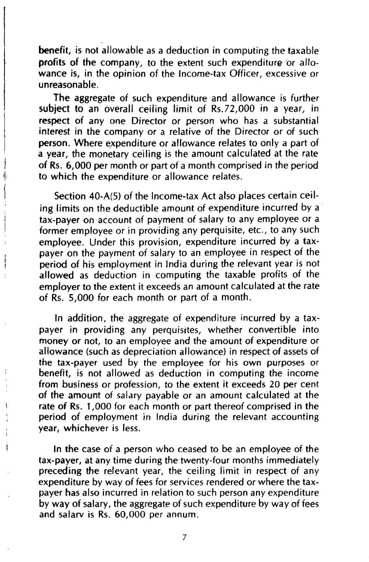benefit, is not allowable as a deduction in computing the taxable profits of the company, to the extent such expenditure or allowance is, in the opinion of the Income-tax Officer, excessive or unreasonable.

The aggregate of such expenditure and allowance is further subject to an overall ceiling limit of Rs.72,000 in a year, in respect of any one Director or person who has a substantial interest in the company or a relative of the Director or of such person. Where expenditure or allowance relates to only a part of a year, the monetary ceiling is the amount calculated at the rate of Rs. 6,000 per month or part of a month comprised in the period to which the expenditure or allowance relates.

Section 40-A(S) of the Income-tax Act also places certain ceiling limits on the deductible amount of expenditure incurred by a tax-payer on account of payment of salary to any employee or a former employee or in providing any perquisite, etc., to any such employee. Under this provision, expenditure incurred by a taxpayer on the payment of salary to an employee in respect of the period of his employment in India during the relevant year is not allowed as deduction in computing the taxable profits of the employer to the extent it exceeds an amount calculated at the rate of Rs. 5,000 for each month or part of a month.

In addition, the aggregate of expenditure incurred by a taxpayer in providing any perquisites, whether convertible into money or not, to an employee and the amount of expenditure or allowance (such as depreciation allowance) in respect of assets of the tax-payer used by the employee for his own purposes or benefit, is not allowed as deduction in computing the income from business or profession, to the extent it exceeds 20 per cent of the amount of salary payable or an amount calculated at the rate of Rs. 1,000 for each month or part thereof comprised in the period of employment in India during the relevant accounting year, whichever is less.

In the case of a person who ceased to be an employee of the tax-payer, at any time during the twenty-four months immediately preceding the relevant year, the ceiling limit in respect of any expenditure by way of fees for services rendered or where the taxpayer has also incurred in relation to such person any expenditure by way of salary, the aggregate of such expenditure by way of fees and salarv is Rs. 60,000 per annum.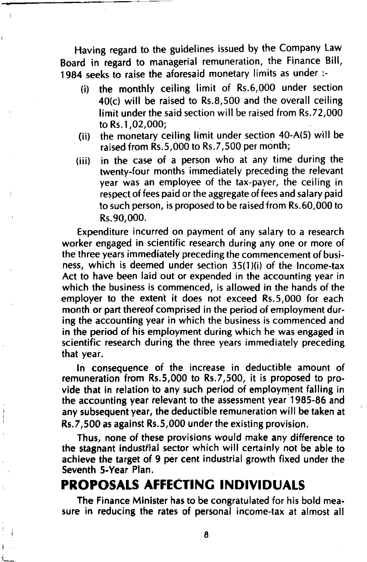Having regard to the guidelines issued by the Company Law Board in regard to managerial remuneration, the Finance Bill, 1984 seeks to raise the aforesaid monetary limits as under :-

- (i) the monthly ceiling limit of Rs.6,000 under section 40(c) will be raised to Rs.8,500 and the overall ceiling limit under the said section will be raised from Rs.72,000 to Rs.l ,02,000;
- (ii) the monetary ceiling limit under section 40-A(S) will be raised from Rs.S,OOO to Rs.7,500 per month;
- (iii) in the case of a person who at any time during the twenty-four months immediately preceding the relevant year was an employee of the tax-payer, the ceiling in respect of fees paid or the aggregate of fees and salary paid to such person, is proposed to be raised from Rs.60,000 to Rs.90,000.

Expenditure incurred on payment of any salary to a research worker engaged in scientific research during any one or more of the three years immediately preceding the commencement of business, which is deemed under section 35(1)(i) of the Income-tax Act to have been laid out or expended in the accounting year in which the business is commenced, is allowed in the hands of the employer to the extent it does not exceed Rs.S,OOO for each month or part thereof comprised in the period of employment during the accounting year in which the business is commenced and in the period of his employment during which he was engaged in scientific research during the three years immediately preceding that year.

In consequence of the increase in deductible amount of remuneration from Rs.S,OOO to Rs.7,500, it is proposed to provide that in relation to any such period of employment falling in the accounting year relevant to the assessment year 1985-86 and any subsequent year, the deductible remuneration will be taken at Rs.7,500 as against Rs.S,OOO under the existing provision.

Thus, none of these provisions would make any difference to the stagnant industfial sector which will certainly not be able to achieve the target of 9 per cent industrial growth fixed under the Seventh 5-Year Plan.

## **PROPOSALS AFFECTING INDIVIDUALS**

The Finance Minister has to be congratulated for his bold measure in reducing the rates of personal income-tax at almost all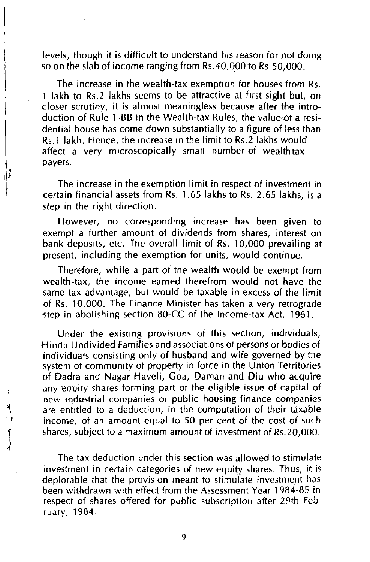levels, though it is difficult to understand his reason for not doing so on the slab of income ranging from Rs.40,000 to Rs.50,000.

The increase in the wealth-tax exemption for houses from Rs. 1 lakh to Rs.2 lakhs seems to be attractive at first sight but, on closer scrutiny, it is almost meaningless because after the introduction of Rule 1-BB in the Wealth-tax Rules, the valuecof a residential house has come down substantially to a figure of less than Rs.1 lakh. Hence, the increase in the limit to Rs.2 lakhs would affect a very microscopically small number of wealthtax payers.

The increase in the exemption limit in respect of investment in certain financial assets from Rs. 1.65 lakhs to Rs. 2.65 lakhs, is a step in the right direction.

However, no corresponding increase has been given to exempt a further amount of dividends from shares, interest on bank deposits, etc. The overall limit of Rs. 10,000 prevailing at present, including the exemption for units, would continue.

Therefore, while a part of the wealth would be exempt from wealth-tax, the income earned therefrom would not have the same tax advantage, but would be taxable in excess of the limit of Rs. 10,000. The Finance Minister has taken a very retrograde step in abolishing section 80-CC of the Income-tax Act, 1961.

Under the existing provisions of this section, individuals, Hindu Undivided Families and associations of persons or bodies of individuals consisting only of husband and wife governed by the system of community of property in force in the Union Territories of Dadra and Nagar Haveli, Goa, Daman and Diu who acquire any equity shares forming part of the eligible issue of capital of new industrial companies or public housing finance companies are entitled to a deduction, in the computation of their taxable income, of an amount equal to 50 per cent of the cost of such shares, subject to a maximum amount of investment of Rs.20,000.

The tax deduction under this section was allowed to stimulate investment in certain categories of new equity shares. Thus, it is deplorable that the provision meant to stimulate investment has been withdrawn with effect from the Assessment Year 1984-85 in respect of shares offered for public subscription after 29th February, 1984.

t

9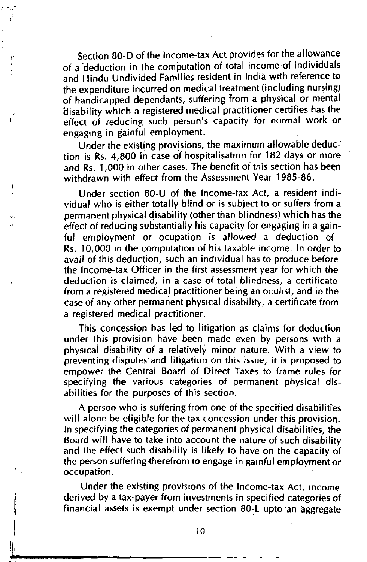Section 80-D of the Income-tax Act provides for the allowance of a 'deduction in the computation of total income of individuals and Hindu Undivided Families resident in India with reference to the expenditure incurred ori medical treatment (including nursing) of handicapped dependants, suffering from a physical or mental disability which a registered medical practitioner certifies has the effect of reducing such person's capacity for normal work or engaging in gainful employment.

Under the existing provisions, the maximum allowable deduction is Rs. 4,800 in case of hospitalisation for 182 days or more and Rs. 1,000 in other cases. The benefit of this section has been withdrawn with effect from the Assessment Year 1985-86.

Under section 80-U of the Income-tax Act, a resident individual who is either totally blind or is subject to or suffers from a permanent physical disability (other than blindness) which has the effect of reducing substantially his capacity for engaging in a gainful employment or ocupation is allowed a deduction of Rs. 10,000 in the computation of his taxable income. In order to avail of this deduction, such an individual has to produce before the Income-tax Officer in the first assessment year for which the deduction is claimed, in a case of total blindness, a certificate from a registered medical practitioner being an oculist, and in the case of any other permanent physical disability, a certificate from a registered medical practitioner.

This concession has led to litigation as claims for deduction under this provision have been made even by persons with a physical disability of a relatively minor nature. With a view to preventing disputes and litigation on this issue, it is proposed to empower the Central Board of Direct Taxes to frame rules for specifying the various categories of permanent physical disabilities for the purposes of this section.

A person who is suffering from one of the specified disabilities will alone be eligible for the tax concession under this provision. In specifying the categories of permanent physical disabilities, the Board will have to take into account the nature of such disability and the effect such disability is likely to have on the capacity of the person suffering therefrom to engage in gainful employment or occupation.

Under the existing provisions of the Income-tax Act, income derived by a tax-payer from investments in specified categories of financial assets is exempt under section 80~L upto ·an aggregate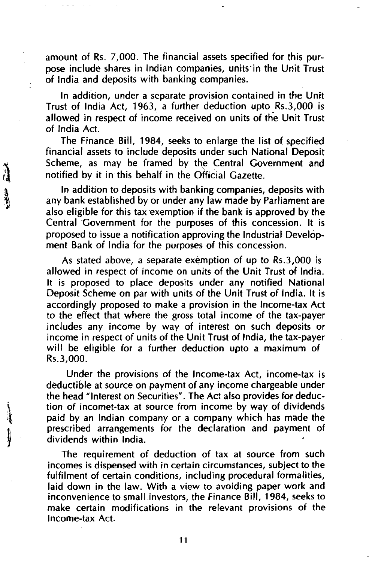amount of Rs. 7,000. The financial assets specified for this purpose include shares in Indian companies, units·in the Unit Trust . of India and deposits with banking companies.

In addition, under a separate provision contained in the Unit Trust of India Act, 1963, a further deduction upto Rs.3,000 is allowed in respect of income received on units of the Unit Trust of India Act.

The Finance Bill, 1984, seeks to enlarge the list of specified financial assets to include deposits under such National Deposit Scheme, as may be framed by the Central Government and notified by it in this behalf in the Official Gazette.

In addition to deposits with banking companies, deposits with any bank established by or under any law made by Parliament are also eligible for this tax exemption if the bank is approved by the Central Government for the purposes of this concession. It is proposed to issue a notification approving the Industrial Development Bank of India for the purposes of this concession.

As stated above, a separate exemption of up to Rs.3,000 is allowed in respect of income on units of the Unit Trust of India. It is proposed to place deposits under any notified National Deposit Scheme on par with units of the Unit Trust of India. It is accordingly proposed to make a provision in the Income-tax Act to the effect that where the gross total income of the tax-payer includes any income by way of interest on such deposits or income in respect of units of the Unit Trust of India, the tax-payer will be eligible for a further deduction upto a maximum of Rs.3,000.

Under the provisions of the Income-tax Act, income-tax is deductible at source on payment of any income chargeable under the head "Interest on Securities". The Act also provides for deduction of incomet-tax at source from income by way of dividends paid by an Indian company or a company which has made the prescribed arrangements for the declaration and payment of dividends within India.

The requirement of deduction of tax at source from such incomes is dispensed with in certain circumstances, subject to the fulfilment of certain conditions, including procedural formalities, laid down in the law. With a view to avoiding paper work and inconvenience to small investors, the Finance Bill, 1984, seeks to make certain modifications in the relevant provisions of the Income-tax Act.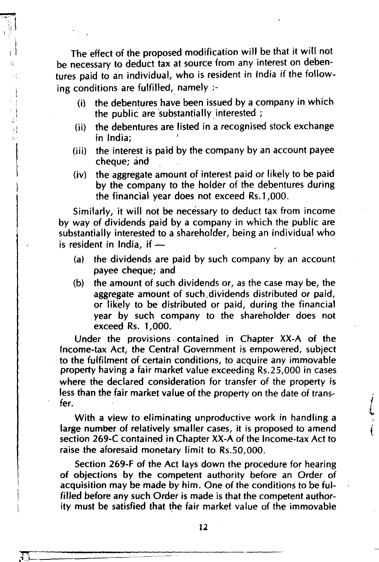The effect of the proposed modification will be that it will not be necessary to deduct tax at source from any interest on debentures paid to an individual, who is resident in India if the following conditions are fulfilled, namely  $:=$ 

- (i) the debentures have been issued by a company in which the public are substantially interested :
- (ii) the debentures are listed in a recognised stock exchange in India;
- (iii) the interest is paid by the company by an account payee cheque; and
- (iv) the aggregate amount of interest paid or likely to be paid by the company to the holder of the debentures during the financial year does not exceed Rs.l,OOO.

Similarly, it will not be necessary to deduct tax from income by way of dividends paid by a company in which the public are substantially interested to a shareholder, being an individual who is resident in India, if  $-$ 

- (a) the dividends are paid by such company by an account payee cheque; and
- (b) the amount of such dividends or, as the case may be, the aggregate amount of such.dividends distributed or paid, or likely to be distributed or paid, during the financial year by such company to the shareholder does not exceed Rs. 1,000.

Under the provisions. contained in Chapter XX-A of the Income-tax Act, the Central Government is empowered, subject to the fulfilment of certain conditions, to acquire any immovable property having a fair market value exceeding Rs.25,000 in cases where the declared consideration for transfer of the property is less than the fair market value of the property on the date of transfer.

With a view to eliminating unproductive work in handling a large number of relatively smaller cases, it is proposed to amend section 269-C contained in Chapter XX-A of the Income-tax Act to raise the aforesaid monetary limit to Rs.SO,OOO.

Section 269-F of the Act lays down the procedure for hearing of objections by the competent authority before an Order of acquisition may be made by him. One of the conditions to be fulfilled before any such Order is made is that the competent authority must be satisfied that the fair market value of the immovable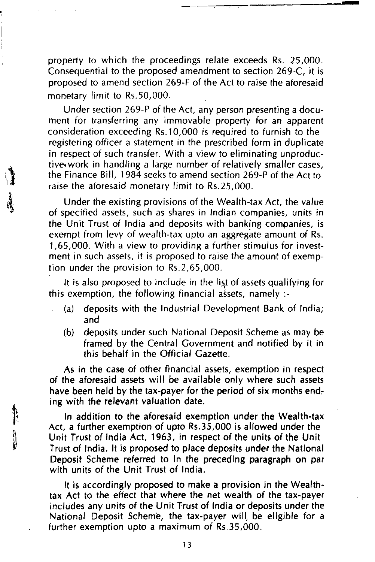property to which the proceedings relate exceeds Rs. 25,000. Consequential to the proposed amendment to section 269-C, it is proposed to amend section 269-F of the Act to raise the aforesaid monetary limit to Rs.50,000.

 $~\rightarrow~$   $~\rightarrow~$ 

Under section 269-P of the Act, any person presenting a document for transferring any immovable property for an apparent consideration exceeding Rs.l 0,000 is required to furnish to the registering officer a statement in the prescribed form in duplicate in respect of such transfer. With a view to eliminating unproductive. work in handling a large number of relatively smaller cases, the Finance Bill, 1984 seeks to amend section 269-P of the Act to raise the aforesaid monetary limit to Rs.25,000.

Under the existing provisions of the Wealth-tax Act, the value of specified assets, such as shares in Indian companies, units in the Unit Trust of India and deposits with banking companies, is exempt from levy of wealth-tax upto an aggregate amount of Rs. 1 ,65,000. With a view to providing a further stimulus for investment in such assets, it is proposed to raise the amount of exemption under the provision to Rs.2,65,000.

It is also proposed to include in the list of assets qualifying for this exemption, the following financial assets, namely :-

- (a) deposits with the Industrial Development Bank of India; and
- (b) deposits under such National Deposit Scheme as may be framed by the Central Government and notified by it in this behalf in the Official Gazette.

As in the case of other financial assets, exemption in respect of the aforesaid assets will be available only where such assets have been held by the tax-payer for the period of six months ending with the relevant valuation date.

In addition to the aforesaid exemption under the Wealth-tax Act, a further exemption of upto Rs.35,000 is allowed under the Unit Trust of India Act, 1963, in respect of the units of the Unit Trust of India. It is proposed to place deposits under the National Deposit Scheme referred to in the preceding paragraph on par with units of the Unit Trust of India.

It is accordingly proposed to make a provision in the Wealthtax Act to the effect that where the net wealth of the tax-payer includes any units of the Unit Trust of India or deposits under the National Deposit Scheme, the tax-payer will, be eligible for a further exemption upto a maximum of Rs.35,000.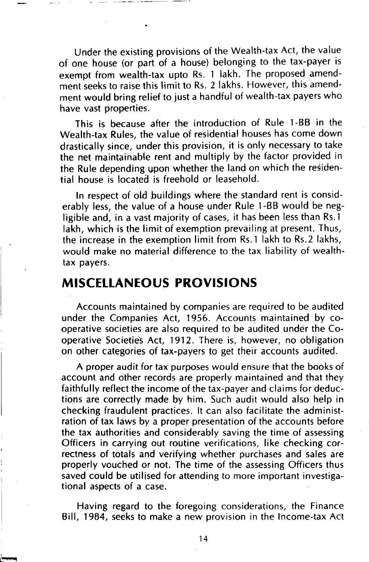Under the existing provisions of the Wealth-tax Act, the value of one house (or part of a house) belonging to the tax-payer is exempt from wealth-tax upto Rs. 1 lakh. The proposed amendment seeks to raise this limit to Rs. 2 lakhs. However, this amendment would bring relief to just a handful of wealth-tax payers who have vast properties.

This is because after the introduction of Rule 1-BB in the Wealth-tax Rules, the value of residential houses has come down drastically since, under this provision, it is only necessary to take the net maintainable rent and multiply by the factor provided in the Rule depending upon whether the land on which the residential house is located is freehold or leasehold.

In respect of old buildings where the standard rent is considerably less, the value of a house under Rule 1-BB would be negligible and, in a vast majority of cases, it has been less than Rs.1 lakh, which is the limit of exemption prevailing at present. Thus, the increase in the exemption limit from Rs.1 lakh to Rs.2 lakhs, would make no material difference to the tax liability of wealthtax payers.

### **MISCELLANEOUS PROVISIONS**

Accounts maintained by companies are required to be audited under the Companies Act, 1956. Accounts maintained by cooperative societies are also required to be audited under the Cooperative Societies Act, 1912. There is, however, no obligation on other categories of tax-payers to get their accounts audited.

A proper audit for tax purposes would ensure that the books of account and other records are properly maintained and that they faithfully reflect the income of the tax-payer and claims for deductions are correctly made by him. Such audit would also help in checking fraudulent practices. It can also facilitate the administration of tax laws by a proper presentation of the accounts before the tax authorities and considerably saving the time of assessing Officers in carrying out routine verifications, like checking correctness of totals and verifying whether purchases and sales are properly vouched or not. The time of the assessing Officers thus saved could be utilised for attending to more important investigational aspects of a case.

Having regard to the foregoing considerations, the Finance Bill, 1984, seeks to make a new provision in the Income-tax Act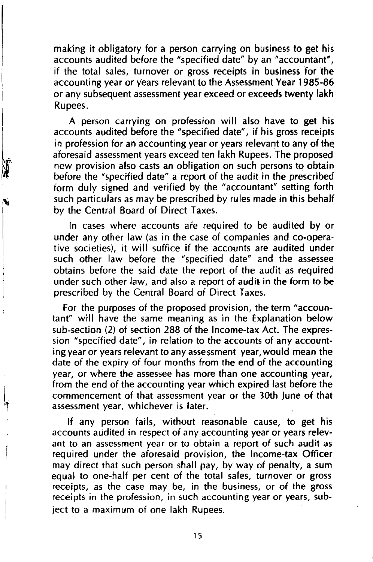maklng it obligatory for a person carrying on business to get his accounts audited before the "specified date" by an "accountant", if the total sales, turnover or gross receipts in business for the accounting year or years relevant to the Assessment Year 1985-86 or any subsequent assessment year exceed or exceeds twenty lakh Rupees.

A person carrying on profession will also have to get his accounts audited before the "specified date", if his gross receipts in profession for an accounting year or years relevant to any of the aforesaid assessment years exceed ten lakh Rupees. The proposed new provision also casts an obligation on such persons to obtain before the "specified date" a report of the audit in the prescribed form duly signed and verified by the "accountant" setting forth such particulars as may be prescribed by rules made in this behalf by the Central Board of Direct Taxes.

In cases where accounts are required to be audited by or under any other law (as in the case of companies and co-operative societies), it will suffice if the accounts are audited under such other law before the "specified date" and the assessee obtains before the said date the report of the audit as required under such other law, and also a report of audit in the form to be prescribed by the Central Board of Direct Taxes.

For the purposes of the proposed provision, the term "accountant" will have the same meaning as in the Explanation below sub-section (2) of section 288 of the Income-tax Act. The expression "specified date", in relation to the accounts of any accounting year or years relevant to any assessment year, would mean the date of the expiry of four months from the end of the accounting year, or where the assessee has more than one accounting year, from the end of the accounting year which expired last before the commencement of that assessment year or the 30th June of that assessment year, whichever is later.

If any person fails, without reasonable cause, to get his accounts audited in respect of any accounting year or years relevant to an assessment year or to obtain a report of such audit as required under the aforesaid provision, the Income-tax Officer may direct that such person shall pay, by way of penalty, a sum equal to one-half per cent of the total sales, turnover or gross receipts, as the case may be, in the business, or of the gross receipts in the profession, in such accounting year or years, subject to a maximum of one lakh Rupees.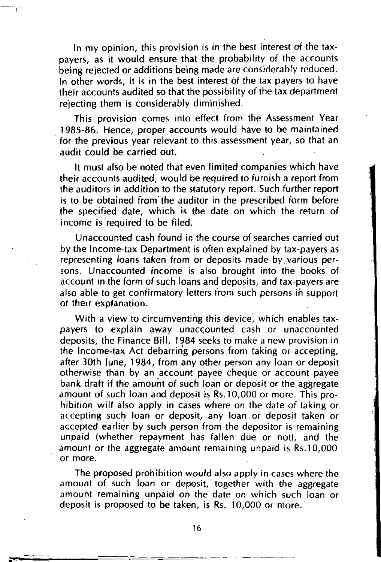In my opinion, this provision is in the best interest of the taxpayers, as it would ensure that the probability of the accounts being rejected or additions being made are considerably reduced. In other words, it is in the best interest of the tax payers to have their accounts audited so that the possibility of the tax department rejecting them is considerably diminished.

This provision comes into effect from the Assessment Year 1985-86. Hence, proper accounts would have to be maintained for the previous year relevant to this assessment year, so that an audit could be carried out.

It must also be noted that even limited companies which have their accounts audited, would be required to furnish a report from the auditors in addition to the statutory report. Such further report is to be obtained from' the auditor in the prescribed form before the specified date, which is the date on which the return of income is required to be filed.

Unaccounted cash found in the course of searches carried out by the Income-tax Department is often explained by tax-payers as representing loans taken from or deposits made by. various persons. Unaccounted income is also brought into the books of account in the form of such loans and deposits, and tax-payers are also able to get confirmatory letters from such persons in support of their explanation.

With a view to circumventing this device, which enables taxpayers to explain away unaccounted cash or unaccounted deposits, the Finance Bill, 1984 seeks to make a new provision in the Income-tax Act debarring persons from taking or accepting, after 30th June, 1984, from any other person any loan or deposit otherwise than by an account payee cheque or account payee bank draft if the amount of such loan or deposit or the aggregate amount of such loan and deposit is Rs.1 0,000 or more. This prohibition will also apply in cases where on the date of taking or accepting such loan or deposit, any loan or deposit taken or accepted earlier by such person from the depositor is remaining unpaid (whether repayment has fallen due or not), and the amount or the aggregate amount remaining unpaid is Rs.10,000 or more.

The proposed prohibition would also apply in cases where the amount of such loan or deposit, together with the aggregate amount remaining unpaid on the date on which such loan or deposit is proposed to be taken, is Rs. 10,000 or more.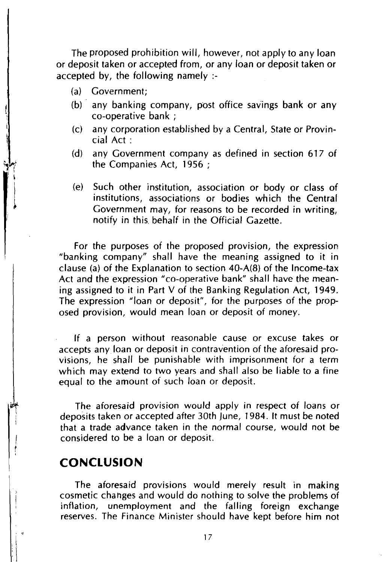The proposed prohibition will, however, not apply to any loan or deposit taken or accepted from, or any loan or deposit taken or accepted by, the following namely :-

- (a) Government;
- (b) any banking company, post office savings bank or any co-operative bank ;
- (c) any corporation established by a Central, State or Provincial Act :
- (d) any Government company as defined in section 617 of the Companies Act, 1956 ;
- (e) Such other institution, association or body or class of institutions, associations or bodies which the Central Government may, for reasons to be recorded in writing, notify in this. behalf in the Official Gazette.

For the purposes of the proposed provision, the expression "banking company" shall have the meaning assigned to it in clause (a) of the Explanation to section 40-A(8) of the Income-tax Act and the expression "co-operative bank" shall have the meaning assigned to it in Part V of the Banking Regulation Act, 1949. The expression "loan or deposit", for the purposes of the proposed provision, would mean loan or deposit of money.

If a person without reasonable cause or excuse takes or accepts any loan or deposit in contravention of the aforesaid provisions, he shall be punishable with imprisonment for a term which may extend to two years and shall also be liable to a fine equal to the amount of such loan or deposit.

The aforesaid provision would apply in respect of loans or deposits taken or accepted after 30th june, 1984. It must be noted that a trade advance taken in the normal course, would not be considered to be a loan or deposit.

### **CONCLUSION**

The aforesaid provisions would merely result in making cosmetic changes and would do nothing to solve the problems of inflation, unemployment and the falling foreign exchange reserves. The Finance Minister should have kept before him not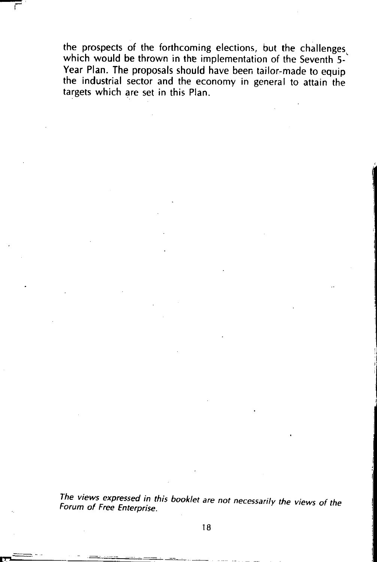the prospects of the forthcoming elections, but the challenges, which would be thrown in the implementation of the Seventh 5-Year Plan. The proposals should have been tailor-made to equip the industrial sector and the economy in general to attain the targets which are set in this Plan.

The views expressed in this booklet are not necessarily the views of the Forum of Free Enterprise.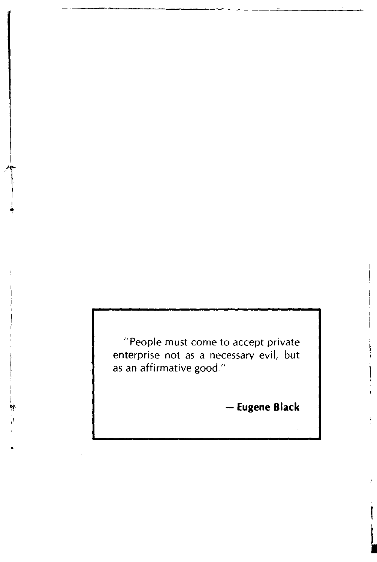"People must come to accept private enterprise not as a necessary evil, but as an affirmative good."

- **Eugene Black**